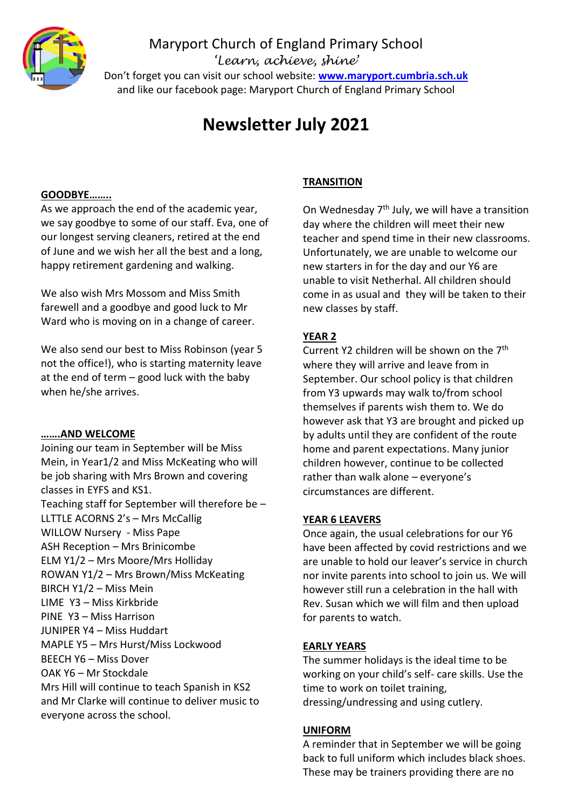

# Maryport Church of England Primary School *'Learn, achieve, shine'*

Don't forget you can visit our school website: **[www.maryport.cumbria.sch.uk](http://www.maryport.cumbria.sch.uk/)** and like our facebook page: Maryport Church of England Primary School

# **Newsletter July 2021**

#### **GOODBYE……..**

As we approach the end of the academic year, we say goodbye to some of our staff. Eva, one of our longest serving cleaners, retired at the end of June and we wish her all the best and a long, happy retirement gardening and walking.

We also wish Mrs Mossom and Miss Smith farewell and a goodbye and good luck to Mr Ward who is moving on in a change of career.

We also send our best to Miss Robinson (year 5 not the office!), who is starting maternity leave at the end of term – good luck with the baby when he/she arrives.

#### **…….AND WELCOME**

Joining our team in September will be Miss Mein, in Year1/2 and Miss McKeating who will be job sharing with Mrs Brown and covering classes in EYFS and KS1. Teaching staff for September will therefore be – LLTTLE ACORNS 2's – Mrs McCallig WILLOW Nursery - Miss Pape ASH Reception – Mrs Brinicombe ELM Y1/2 – Mrs Moore/Mrs Holliday ROWAN Y1/2 – Mrs Brown/Miss McKeating BIRCH Y1/2 – Miss Mein LIME Y3 – Miss Kirkbride PINE Y3 – Miss Harrison JUNIPER Y4 – Miss Huddart MAPLE Y5 – Mrs Hurst/Miss Lockwood BEECH Y6 – Miss Dover OAK Y6 – Mr Stockdale Mrs Hill will continue to teach Spanish in KS2 and Mr Clarke will continue to deliver music to everyone across the school.

### **TRANSITION**

On Wednesday  $7<sup>th</sup>$  July, we will have a transition day where the children will meet their new teacher and spend time in their new classrooms. Unfortunately, we are unable to welcome our new starters in for the day and our Y6 are unable to visit Netherhal. All children should come in as usual and they will be taken to their new classes by staff.

## **YEAR 2**

Current Y2 children will be shown on the 7<sup>th</sup> where they will arrive and leave from in September. Our school policy is that children from Y3 upwards may walk to/from school themselves if parents wish them to. We do however ask that Y3 are brought and picked up by adults until they are confident of the route home and parent expectations. Many junior children however, continue to be collected rather than walk alone – everyone's circumstances are different.

#### **YEAR 6 LEAVERS**

Once again, the usual celebrations for our Y6 have been affected by covid restrictions and we are unable to hold our leaver's service in church nor invite parents into school to join us. We will however still run a celebration in the hall with Rev. Susan which we will film and then upload for parents to watch.

#### **EARLY YEARS**

The summer holidays is the ideal time to be working on your child's self- care skills. Use the time to work on toilet training, dressing/undressing and using cutlery.

#### **UNIFORM**

A reminder that in September we will be going back to full uniform which includes black shoes. These may be trainers providing there are no